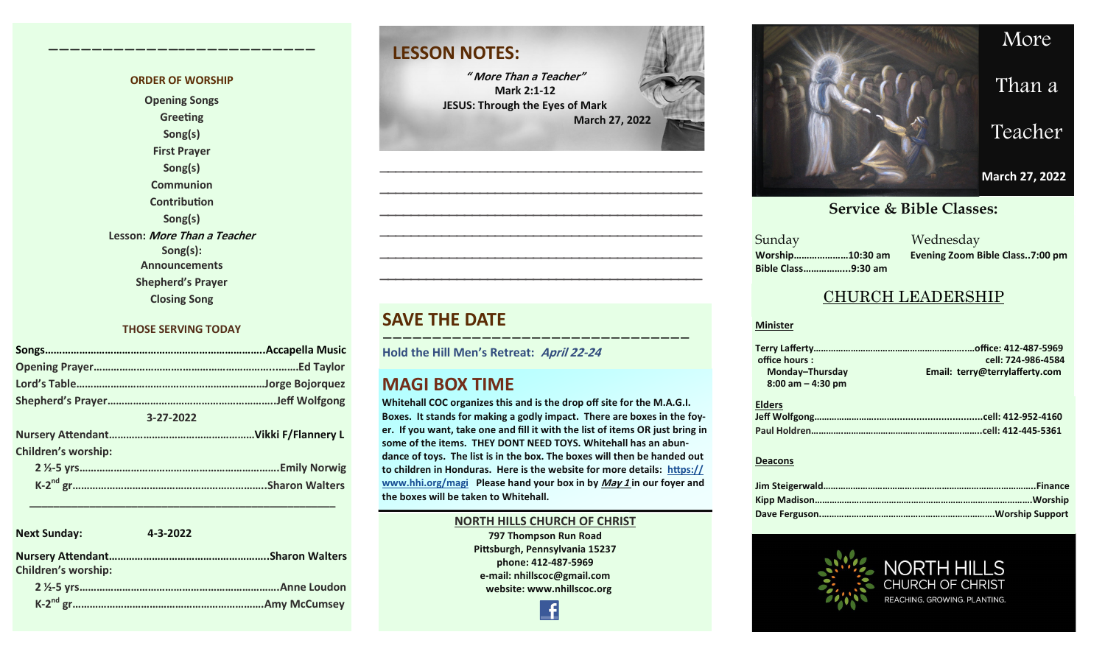#### **ORDER OF WORSHIP**

**————————————–————————————**

**Opening Songs Greeting Song(s) First Prayer Song(s) Communion Contribution Song(s) Lesson: More Than a Teacher Song(s): Announcements Shepherd's Prayer Closing Song**

#### **THOSE SERVING TODAY**

| 3-27-2022                  |  |
|----------------------------|--|
|                            |  |
| <b>Children's worship:</b> |  |
|                            |  |
|                            |  |

 **\_\_\_\_\_\_\_\_\_\_\_\_\_\_\_\_\_\_\_\_\_\_\_\_\_\_\_\_\_\_\_\_\_\_\_\_\_\_\_\_\_\_\_\_\_\_\_\_\_\_\_**

| <b>Next Sunday:</b>        | 4-3-2022 |
|----------------------------|----------|
| <b>Children's worship:</b> |          |
|                            |          |
|                            |          |

### **LESSON NOTES:**

**" More Than a Teacher" Mark 2:1-12 JESUS: Through the Eyes of Mark March 27, 2022**

**—————————————————————————————————————————— —————————————————————————————————————————— —————————————————————————————————————————— —————————————————————————————————————————— —————————————————————————————————————————— ——————————————————————————————————————————**

#### **SAVE THE DATE**

**Hold the Hill Men's Retreat: April 22-<sup>24</sup>**

#### **MAGI BOX TIME**

**Whitehall COC organizes this and is the drop off site for the M.A.G.I. Boxes. It stands for making a godly impact. There are boxes in the foyer. If you want, take one and fill it with the list of items OR just bring in some of the items. THEY DONT NEED TOYS. Whitehall has an abundance of toys. The list is in the box. The boxes will then be handed out to children in Honduras. Here is the website for more details: [https://](https://www.hhi.org/magi) [www.hhi.org/magi](https://www.hhi.org/magi) Please hand your box in by May 1 in our foyer and the boxes will be taken to Whitehall.** 

**———————————————————————————————**

#### **NORTH HILLS CHURCH OF CHRIST 797 Thompson Run Road Pittsburgh, Pennsylvania 15237 phone: 412-487-5969 e-mail: nhillscoc@gmail.com website: www.nhillscoc.org**



#### **September 24, 2017 October 8, 2017 October 15, 2017 October 8, 2017 October 22, 2017 October 29, 2017 November 5, 2017 November 12, 2017 November 26, 2017 December 10, 2017 December 24, 2017 January 7, 2017 January 7, 2017 February 21, 2021**

**December 17, 2017 December 29, 2019 February 9, 2020 January 26, 2020 February 23, 2020 March 1, 2020 April 5, 2020** Sunday Wednesday **March 18, 2018 January 28, 2018 February 4, 2018 January 21, 2018 Sunday Bible Class……………...9:30 am**

**Worship…………………10:30 am Evening Zoom Bible Class..7:00 pm**

#### CHURCH LEADERSHIP

#### **Minister**

| office hours:        | cell: 724-986-4584             |
|----------------------|--------------------------------|
| Monday-Thursday      | Email: terry@terrylafferty.com |
| $8:00$ am $-4:30$ pm |                                |
| <b>Elders</b>        |                                |
|                      |                                |
|                      |                                |

#### **Deacons**